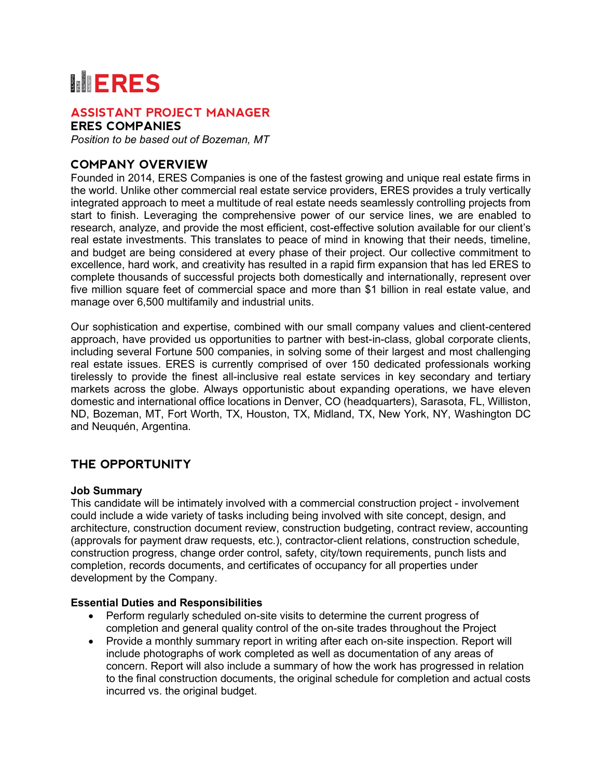# **MERES**

# **ASSISTANT PROJECT MANAGER**

**ERES COMPANIES**

*Position to be based out of Bozeman, MT*

## **COMPANY OVERVIEW**

Founded in 2014, ERES Companies is one of the fastest growing and unique real estate firms in the world. Unlike other commercial real estate service providers, ERES provides a truly vertically integrated approach to meet a multitude of real estate needs seamlessly controlling projects from start to finish. Leveraging the comprehensive power of our service lines, we are enabled to research, analyze, and provide the most efficient, cost-effective solution available for our client's real estate investments. This translates to peace of mind in knowing that their needs, timeline, and budget are being considered at every phase of their project. Our collective commitment to excellence, hard work, and creativity has resulted in a rapid firm expansion that has led ERES to complete thousands of successful projects both domestically and internationally, represent over five million square feet of commercial space and more than \$1 billion in real estate value, and manage over 6,500 multifamily and industrial units.

Our sophistication and expertise, combined with our small company values and client-centered approach, have provided us opportunities to partner with best-in-class, global corporate clients, including several Fortune 500 companies, in solving some of their largest and most challenging real estate issues. ERES is currently comprised of over 150 dedicated professionals working tirelessly to provide the finest all-inclusive real estate services in key secondary and tertiary markets across the globe. Always opportunistic about expanding operations, we have eleven domestic and international office locations in Denver, CO (headquarters), Sarasota, FL, Williston, ND, Bozeman, MT, Fort Worth, TX, Houston, TX, Midland, TX, New York, NY, Washington DC and Neuquén, Argentina.

## **THE OPPORTUNITY**

#### **Job Summary**

This candidate will be intimately involved with a commercial construction project - involvement could include a wide variety of tasks including being involved with site concept, design, and architecture, construction document review, construction budgeting, contract review, accounting (approvals for payment draw requests, etc.), contractor-client relations, construction schedule, construction progress, change order control, safety, city/town requirements, punch lists and completion, records documents, and certificates of occupancy for all properties under development by the Company.

#### **Essential Duties and Responsibilities**

- Perform regularly scheduled on-site visits to determine the current progress of completion and general quality control of the on-site trades throughout the Project
- Provide a monthly summary report in writing after each on-site inspection. Report will include photographs of work completed as well as documentation of any areas of concern. Report will also include a summary of how the work has progressed in relation to the final construction documents, the original schedule for completion and actual costs incurred vs. the original budget.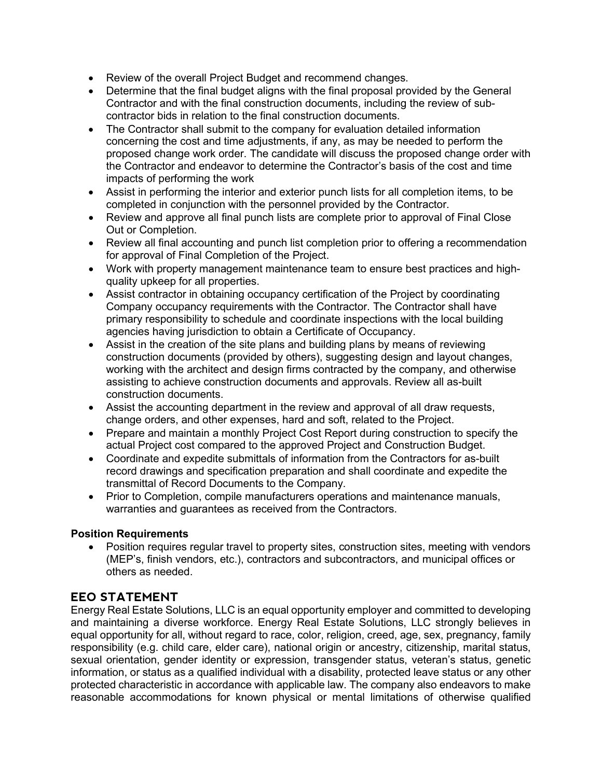- Review of the overall Project Budget and recommend changes.
- Determine that the final budget aligns with the final proposal provided by the General Contractor and with the final construction documents, including the review of subcontractor bids in relation to the final construction documents.
- The Contractor shall submit to the company for evaluation detailed information concerning the cost and time adjustments, if any, as may be needed to perform the proposed change work order. The candidate will discuss the proposed change order with the Contractor and endeavor to determine the Contractor's basis of the cost and time impacts of performing the work
- Assist in performing the interior and exterior punch lists for all completion items, to be completed in conjunction with the personnel provided by the Contractor.
- Review and approve all final punch lists are complete prior to approval of Final Close Out or Completion.
- Review all final accounting and punch list completion prior to offering a recommendation for approval of Final Completion of the Project.
- Work with property management maintenance team to ensure best practices and highquality upkeep for all properties.
- Assist contractor in obtaining occupancy certification of the Project by coordinating Company occupancy requirements with the Contractor. The Contractor shall have primary responsibility to schedule and coordinate inspections with the local building agencies having jurisdiction to obtain a Certificate of Occupancy.
- Assist in the creation of the site plans and building plans by means of reviewing construction documents (provided by others), suggesting design and layout changes, working with the architect and design firms contracted by the company, and otherwise assisting to achieve construction documents and approvals. Review all as-built construction documents.
- Assist the accounting department in the review and approval of all draw requests, change orders, and other expenses, hard and soft, related to the Project.
- Prepare and maintain a monthly Project Cost Report during construction to specify the actual Project cost compared to the approved Project and Construction Budget.
- Coordinate and expedite submittals of information from the Contractors for as-built record drawings and specification preparation and shall coordinate and expedite the transmittal of Record Documents to the Company.
- Prior to Completion, compile manufacturers operations and maintenance manuals, warranties and guarantees as received from the Contractors.

#### **Position Requirements**

• Position requires regular travel to property sites, construction sites, meeting with vendors (MEP's, finish vendors, etc.), contractors and subcontractors, and municipal offices or others as needed.

## **EEO STATEMENT**

Energy Real Estate Solutions, LLC is an equal opportunity employer and committed to developing and maintaining a diverse workforce. Energy Real Estate Solutions, LLC strongly believes in equal opportunity for all, without regard to race, color, religion, creed, age, sex, pregnancy, family responsibility (e.g. child care, elder care), national origin or ancestry, citizenship, marital status, sexual orientation, gender identity or expression, transgender status, veteran's status, genetic information, or status as a qualified individual with a disability, protected leave status or any other protected characteristic in accordance with applicable law. The company also endeavors to make reasonable accommodations for known physical or mental limitations of otherwise qualified